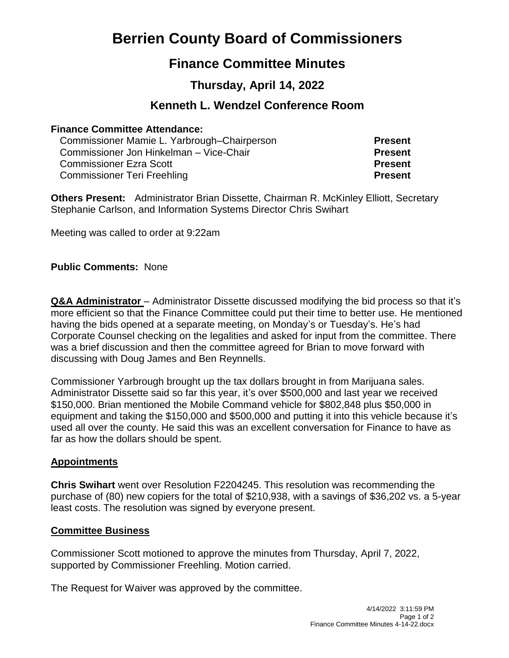# **Berrien County Board of Commissioners**

## **Finance Committee Minutes**

## **Thursday, April 14, 2022**

### **Kenneth L. Wendzel Conference Room**

#### **Finance Committee Attendance:**

| Commissioner Mamie L. Yarbrough–Chairperson | <b>Present</b> |
|---------------------------------------------|----------------|
| Commissioner Jon Hinkelman - Vice-Chair     | <b>Present</b> |
| <b>Commissioner Ezra Scott</b>              | <b>Present</b> |
| Commissioner Teri Freehling                 | <b>Present</b> |

**Others Present:** Administrator Brian Dissette, Chairman R. McKinley Elliott, Secretary Stephanie Carlson, and Information Systems Director Chris Swihart

Meeting was called to order at 9:22am

#### **Public Comments:** None

**Q&A Administrator** – Administrator Dissette discussed modifying the bid process so that it's more efficient so that the Finance Committee could put their time to better use. He mentioned having the bids opened at a separate meeting, on Monday's or Tuesday's. He's had Corporate Counsel checking on the legalities and asked for input from the committee. There was a brief discussion and then the committee agreed for Brian to move forward with discussing with Doug James and Ben Reynnells.

Commissioner Yarbrough brought up the tax dollars brought in from Marijuana sales. Administrator Dissette said so far this year, it's over \$500,000 and last year we received \$150,000. Brian mentioned the Mobile Command vehicle for \$802,848 plus \$50,000 in equipment and taking the \$150,000 and \$500,000 and putting it into this vehicle because it's used all over the county. He said this was an excellent conversation for Finance to have as far as how the dollars should be spent.

#### **Appointments**

**Chris Swihart** went over Resolution F2204245. This resolution was recommending the purchase of (80) new copiers for the total of \$210,938, with a savings of \$36,202 vs. a 5-year least costs. The resolution was signed by everyone present.

#### **Committee Business**

Commissioner Scott motioned to approve the minutes from Thursday, April 7, 2022, supported by Commissioner Freehling. Motion carried.

The Request for Waiver was approved by the committee.